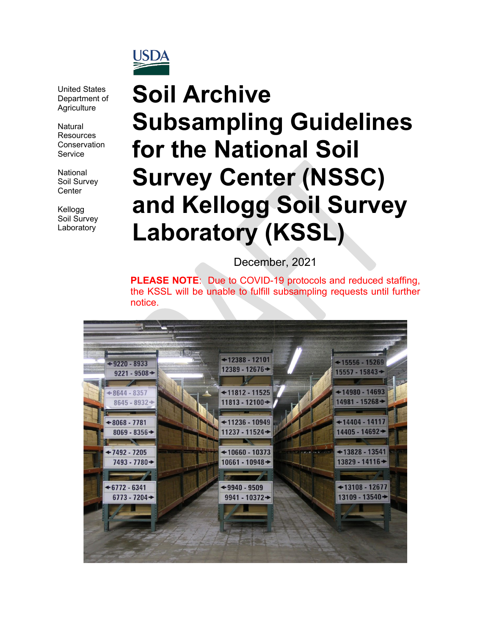

United States Department of **Agriculture** 

Natural **Resources Conservation** Service

National Soil Survey **Center** 

Kellogg Soil Survey Laboratory

# **Soil Archive Subsampling Guidelines for the National Soil Survey Center (NSSC) and Kellogg Soil Survey Laboratory (KSSL)**

December, 2021

**PLEASE NOTE**: Due to COVID-19 protocols and reduced staffing, the KSSL will be unable to fulfill subsampling requests until further notice.

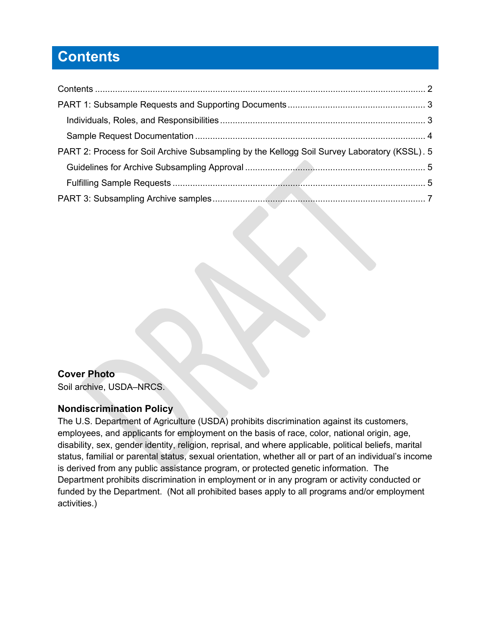## <span id="page-1-0"></span>**Contents**

| PART 2: Process for Soil Archive Subsampling by the Kellogg Soil Survey Laboratory (KSSL). 5 |  |
|----------------------------------------------------------------------------------------------|--|
|                                                                                              |  |
|                                                                                              |  |
| the contract of the contract of the contract of                                              |  |
|                                                                                              |  |

### **Cover Photo**

Soil archive, USDA–NRCS.

#### **Nondiscrimination Policy**

The U.S. Department of Agriculture (USDA) prohibits discrimination against its customers, employees, and applicants for employment on the basis of race, color, national origin, age, disability, sex, gender identity, religion, reprisal, and where applicable, political beliefs, marital status, familial or parental status, sexual orientation, whether all or part of an individual's income is derived from any public assistance program, or protected genetic information. The Department prohibits discrimination in employment or in any program or activity conducted or funded by the Department. (Not all prohibited bases apply to all programs and/or employment activities.)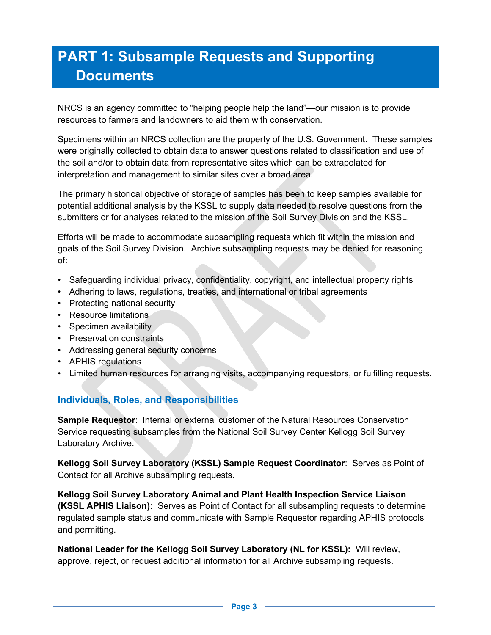# <span id="page-2-0"></span>**PART 1: Subsample Requests and Supporting Documents**

NRCS is an agency committed to "helping people help the land"—our mission is to provide resources to farmers and landowners to aid them with conservation.

Specimens within an NRCS collection are the property of the U.S. Government. These samples were originally collected to obtain data to answer questions related to classification and use of the soil and/or to obtain data from representative sites which can be extrapolated for interpretation and management to similar sites over a broad area.

The primary historical objective of storage of samples has been to keep samples available for potential additional analysis by the KSSL to supply data needed to resolve questions from the submitters or for analyses related to the mission of the Soil Survey Division and the KSSL.

Efforts will be made to accommodate subsampling requests which fit within the mission and goals of the Soil Survey Division. Archive subsampling requests may be denied for reasoning of:

- Safeguarding individual privacy, confidentiality, copyright, and intellectual property rights
- Adhering to laws, regulations, treaties, and international or tribal agreements
- Protecting national security
- Resource limitations
- Specimen availability
- Preservation constraints
- Addressing general security concerns
- APHIS regulations
- <span id="page-2-1"></span>• Limited human resources for arranging visits, accompanying requestors, or fulfilling requests.

### **Individuals, Roles, and Responsibilities**

**Sample Requestor: Internal or external customer of the Natural Resources Conservation** Service requesting subsamples from the National Soil Survey Center Kellogg Soil Survey Laboratory Archive.

**Kellogg Soil Survey Laboratory (KSSL) Sample Request Coordinator**: Serves as Point of Contact for all Archive subsampling requests.

**Kellogg Soil Survey Laboratory Animal and Plant Health Inspection Service Liaison (KSSL APHIS Liaison):** Serves as Point of Contact for all subsampling requests to determine regulated sample status and communicate with Sample Requestor regarding APHIS protocols and permitting.

**National Leader for the Kellogg Soil Survey Laboratory (NL for KSSL):** Will review, approve, reject, or request additional information for all Archive subsampling requests.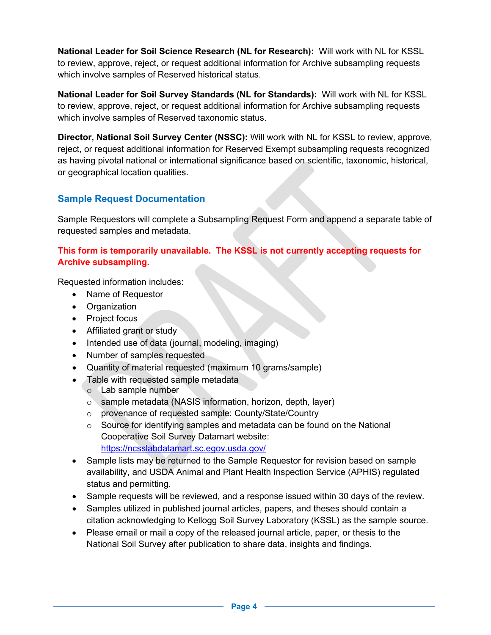**National Leader for Soil Science Research (NL for Research):** Will work with NL for KSSL to review, approve, reject, or request additional information for Archive subsampling requests which involve samples of Reserved historical status.

**National Leader for Soil Survey Standards (NL for Standards):** Will work with NL for KSSL to review, approve, reject, or request additional information for Archive subsampling requests which involve samples of Reserved taxonomic status.

**Director, National Soil Survey Center (NSSC):** Will work with NL for KSSL to review, approve, reject, or request additional information for Reserved Exempt subsampling requests recognized as having pivotal national or international significance based on scientific, taxonomic, historical, or geographical location qualities.

### <span id="page-3-0"></span>**Sample Request Documentation**

Sample Requestors will complete a Subsampling Request Form and append a separate table of requested samples and metadata.

#### **This form is temporarily unavailable. The KSSL is not currently accepting requests for Archive subsampling.**

Requested information includes:

- Name of Requestor
- Organization
- Project focus
- Affiliated grant or study
- Intended use of data (journal, modeling, imaging)
- Number of samples requested
- Quantity of material requested (maximum 10 grams/sample)
- Table with requested sample metadata
	- o Lab sample number
	- o sample metadata (NASIS information, horizon, depth, layer)
	- o provenance of requested sample: County/State/Country
	- $\circ$  Source for identifying samples and metadata can be found on the National Cooperative Soil Survey Datamart website: <https://ncsslabdatamart.sc.egov.usda.gov/>
- Sample lists may be returned to the Sample Requestor for revision based on sample availability, and USDA Animal and Plant Health Inspection Service (APHIS) regulated status and permitting.
- Sample requests will be reviewed, and a response issued within 30 days of the review.
- Samples utilized in published journal articles, papers, and theses should contain a citation acknowledging to Kellogg Soil Survey Laboratory (KSSL) as the sample source.
- Please email or mail a copy of the released journal article, paper, or thesis to the National Soil Survey after publication to share data, insights and findings.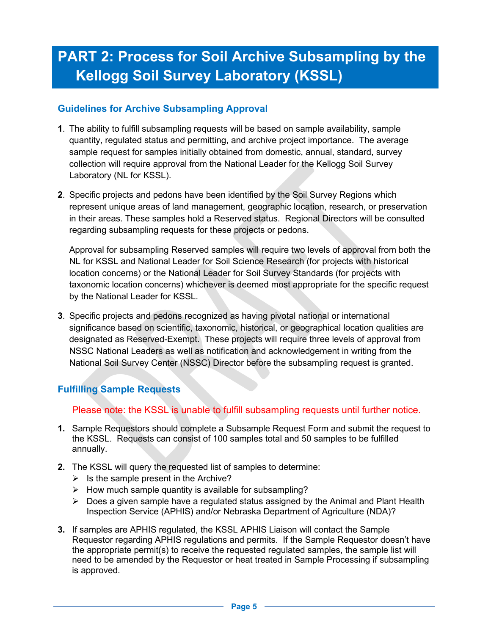# <span id="page-4-0"></span>**PART 2: Process for Soil Archive Subsampling by the Kellogg Soil Survey Laboratory (KSSL)**

#### <span id="page-4-1"></span>**Guidelines for Archive Subsampling Approval**

- **1**. The ability to fulfill subsampling requests will be based on sample availability, sample quantity, regulated status and permitting, and archive project importance. The average sample request for samples initially obtained from domestic, annual, standard, survey collection will require approval from the National Leader for the Kellogg Soil Survey Laboratory (NL for KSSL).
- **2**. Specific projects and pedons have been identified by the Soil Survey Regions which represent unique areas of land management, geographic location, research, or preservation in their areas. These samples hold a Reserved status. Regional Directors will be consulted regarding subsampling requests for these projects or pedons.

Approval for subsampling Reserved samples will require two levels of approval from both the NL for KSSL and National Leader for Soil Science Research (for projects with historical location concerns) or the National Leader for Soil Survey Standards (for projects with taxonomic location concerns) whichever is deemed most appropriate for the specific request by the National Leader for KSSL.

**3**. Specific projects and pedons recognized as having pivotal national or international significance based on scientific, taxonomic, historical, or geographical location qualities are designated as Reserved-Exempt. These projects will require three levels of approval from NSSC National Leaders as well as notification and acknowledgement in writing from the National Soil Survey Center (NSSC) Director before the subsampling request is granted.

### <span id="page-4-2"></span>**Fulfilling Sample Requests**

Please note: the KSSL is unable to fulfill subsampling requests until further notice.

- **1.** Sample Requestors should complete a Subsample Request Form and submit the request to the KSSL. Requests can consist of 100 samples total and 50 samples to be fulfilled annually.
- **2.** The KSSL will query the requested list of samples to determine:
	- $\triangleright$  Is the sample present in the Archive?
	- $\triangleright$  How much sample quantity is available for subsampling?
	- $\triangleright$  Does a given sample have a regulated status assigned by the Animal and Plant Health Inspection Service (APHIS) and/or Nebraska Department of Agriculture (NDA)?
- **3.** If samples are APHIS regulated, the KSSL APHIS Liaison will contact the Sample Requestor regarding APHIS regulations and permits. If the Sample Requestor doesn't have the appropriate permit(s) to receive the requested regulated samples, the sample list will need to be amended by the Requestor or heat treated in Sample Processing if subsampling is approved.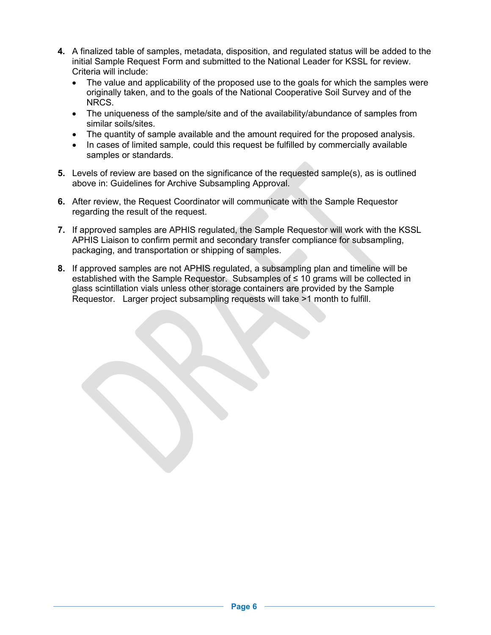- **4.** A finalized table of samples, metadata, disposition, and regulated status will be added to the initial Sample Request Form and submitted to the National Leader for KSSL for review. Criteria will include:
	- The value and applicability of the proposed use to the goals for which the samples were originally taken, and to the goals of the National Cooperative Soil Survey and of the NRCS.
	- The uniqueness of the sample/site and of the availability/abundance of samples from similar soils/sites.
	- The quantity of sample available and the amount required for the proposed analysis.
	- In cases of limited sample, could this request be fulfilled by commercially available samples or standards.
- **5.** Levels of review are based on the significance of the requested sample(s), as is outlined above in: Guidelines for Archive Subsampling Approval.
- **6.** After review, the Request Coordinator will communicate with the Sample Requestor regarding the result of the request.
- **7.** If approved samples are APHIS regulated, the Sample Requestor will work with the KSSL APHIS Liaison to confirm permit and secondary transfer compliance for subsampling, packaging, and transportation or shipping of samples.
- **8.** If approved samples are not APHIS regulated, a subsampling plan and timeline will be established with the Sample Requestor. Subsamples of ≤ 10 grams will be collected in glass scintillation vials unless other storage containers are provided by the Sample Requestor. Larger project subsampling requests will take >1 month to fulfill.